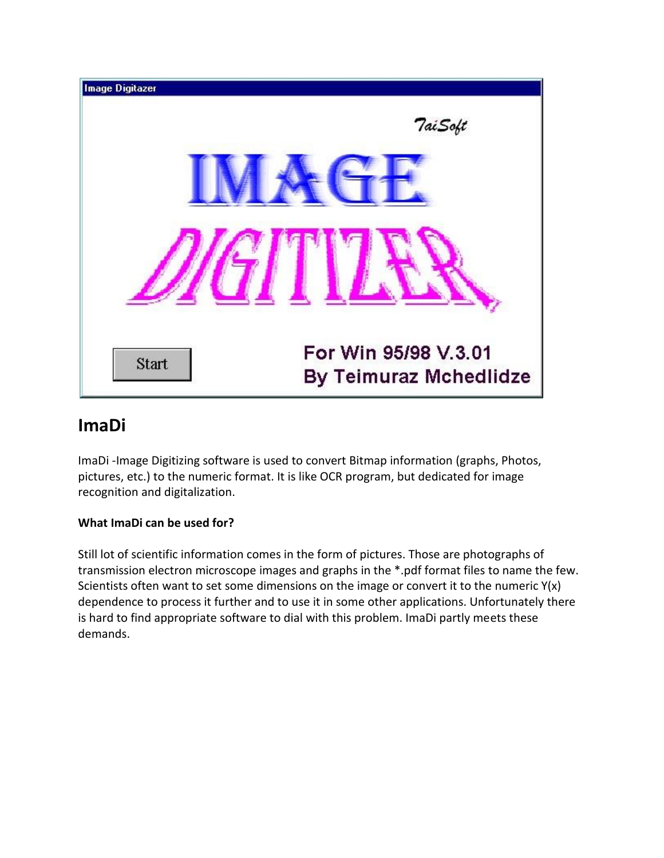

# **ImaDi**

[ImaDi](http://www.teimuraz.net/Soft/Imadi/ImaDi1.jpg) -Image Digitizing software is used to convert Bitmap information (graphs, Photos, pictures, etc.) to the numeric format. It is like OCR program, but dedicated for image recognition and digitalization.

# **What ImaDi can be used for?**

Still lot of scientific information comes in the form of pictures. Those are photographs of transmission electron microscope images and graphs in the \*.pdf format files to name the few. Scientists often want to set some dimensions on the image or convert it to the numeric  $Y(x)$ dependence to process it further and to use it in some other applications. Unfortunately there is hard to find appropriate software to dial with this problem. ImaDi partly meets these demands.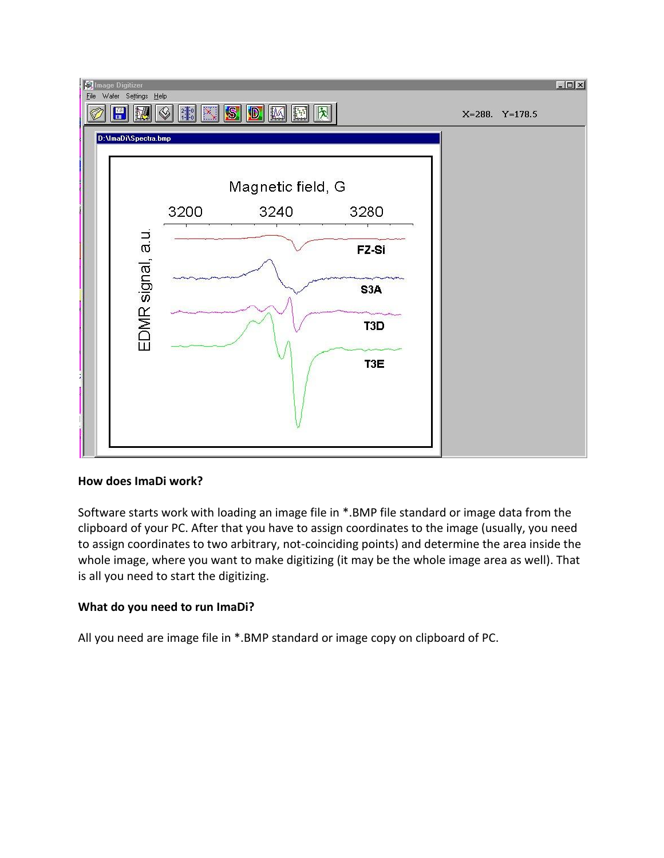

#### **How does ImaDi work?**

Software starts work with loading an image file in \*.BMP file standard or image data from the clipboard of your PC. After that you have to assign coordinates to the image (usually, you need to assign coordinates to two arbitrary, not-coinciding points) and determine the area inside the whole image, where you want to make digitizing (it may be the whole image area as well). That is all you need to start the digitizing.

## **What do you need to run ImaDi?**

All you need are image file in \*.BMP standard or image copy on clipboard of PC.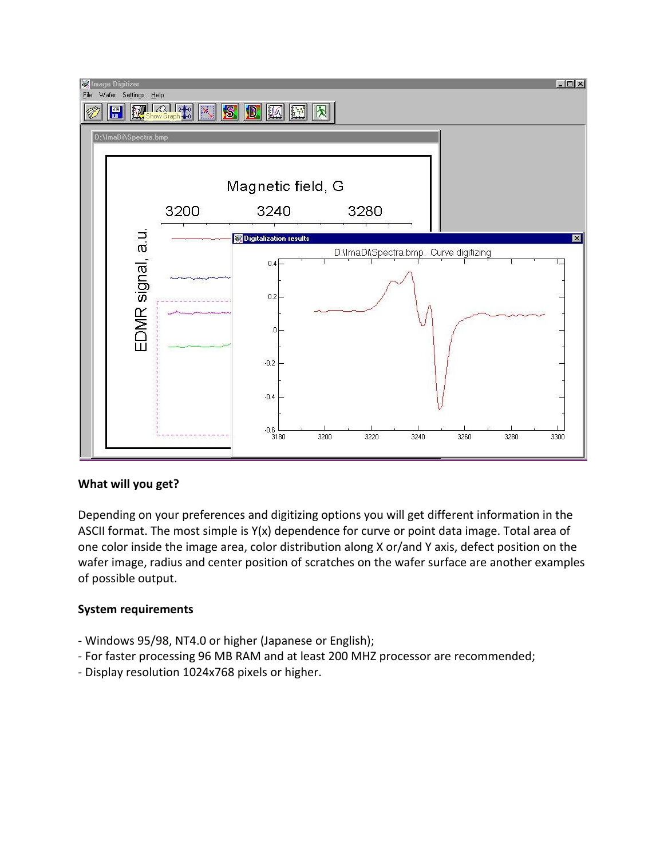

#### **What will you get?**

Depending on your preferences and digitizing options you will get different information in the ASCII format. The most simple is Y(x) dependence for curve or point data image. Total area of one color inside the image area, color distribution along X or/and Y axis, defect position on the wafer image, radius and center position of scratches on the wafer surface are another examples of possible output.

#### **System requirements**

- Windows 95/98, NT4.0 or higher (Japanese or English);
- For faster processing 96 MB RAM and at least 200 MHZ processor are recommended;
- Display resolution 1024x768 pixels or higher.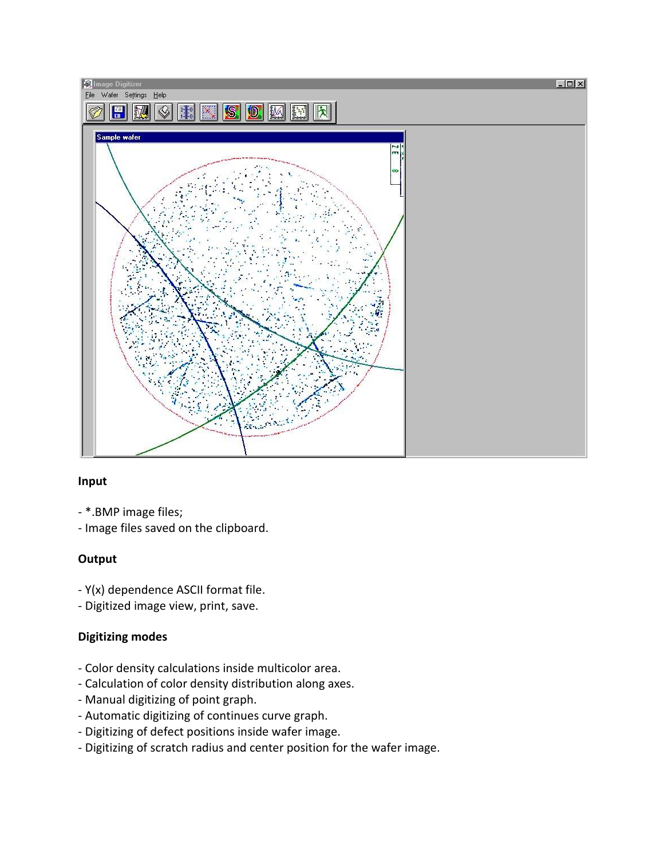

#### **Input**

- \*.BMP image files;
- Image files saved on the clipboard.

## **Output**

- Y(x) dependence ASCII format file.
- Digitized image view, print, save.

## **Digitizing modes**

- Color density calculations inside multicolor area.
- Calculation of color density distribution along axes.
- Manual digitizing of point graph.
- Automatic digitizing of continues curve graph.
- Digitizing of defect positions inside wafer image.
- [Digitizing of scratch](http://www.teimuraz.net/Soft/Imadi/ImaDi4.jpg) radius and center position for the wafer image.